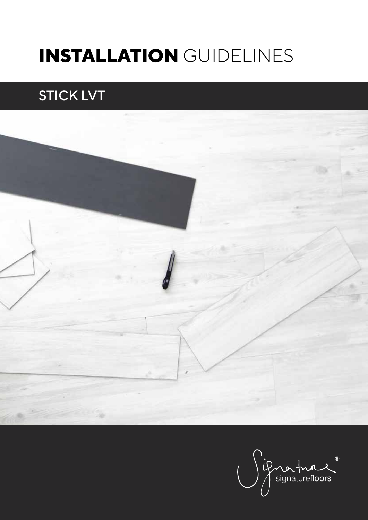# **INSTALLATION** GUIDELINES

## STICK LVT



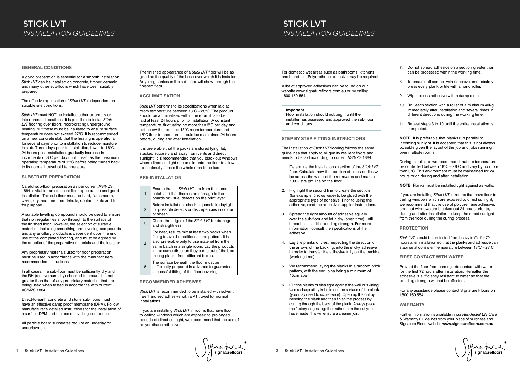### **GENERAL CONDITIONS**

A good preparation is essential for a smooth installation. *Stick LVT* can be installed on concrete, timber, ceramic and many other sub-floors which have been suitably prepared.

The effective application of *Stick LVT* is dependent on suitable site conditions.

*Stick LVT* must NOT be installed either externally or into unheated locations. It is possible to install *Stick LVT* flooring over floors incorporating underground heating, but these must be insulated to ensure surface temperature does not exceed 27°C. It is recommended on a new concrete slab that the heating is operational for several days prior to installation to reduce moisture in slab. Three days prior to installation, lower to 18°C. 24 hours post installation, gradually increase in increments of 3°C per day until it reaches the maximum operating temperature of 27°C before being turned back to its normal household temperature.

### **SUBSTRATE PREPARATION**

Careful sub-floor preparation as per current AS/NZS 1884 is vital for an excellent floor appearance and good installation. The sub-floor must be hard, flat, smooth, clean, dry, and free from defects, contaminants and fit for purpose.

A suitable levelling compound should be used to ensure that no irregularities show through to the surface of the finished floor. However, the selection of suitable materials, including smoothing and levelling compounds and any ancillary products is dependent upon the end use of the completed flooring, and must be agreed by the supplier of the preparative materials and the installer.

It is preferable that the packs are stored Iving flat, stacked squarely and away from vents and direct sunlight. It is recommended that you black out windows where direct sunlight streams in onto the floor to allow for continuity across the whole area to be laid.

Any proprietary materials used for floor preparation must be used in accordance with the manufacturers' recommended instructions.

In all cases, the sub-floor must be sufficiently dry and the RH (relative humidity) checked to ensure it is not greater than that of any proprietary materials that are being used when tested in accordance with current AS/NZS 1884.

Direct-to-earth concrete and stone sub-floors must have an effective damp proof membrane (DPM). Follow manufacturer's detailed instructions for the installation of a surface DPM and the use of levelling compound.

All particle board substrates require an underlay or underlayment.

The finished appearance of a *Stick LVT* floor will be as good as the quality of the base over which it is installed. Any irregularities in the sub-floor will show through the finished floor.

### **ACCLIMATISATION**

*Stick LVT* performs to its specifications when laid at room temperature between  $18^{\circ}$ C – 28 $^{\circ}$ C. The product should be acclimatised within the room it is to be laid at least 24 hours prior to installation. A constant temperature, fluctuating no more than 3°C per day and not below the required 18°C room temperature and 15°C floor temperature, should be maintained 24 hours before, during and after installation.

### **PRE-INSTALLATION**

| 1 | Ensure that all Stick LVT are from the same<br>batch and that there is no damage to the<br>boards or visual defects on the print layer.                                                                                                                                                        |
|---|------------------------------------------------------------------------------------------------------------------------------------------------------------------------------------------------------------------------------------------------------------------------------------------------|
| 2 | Before installation, check all panels in daylight<br>for possible defects or discrepancies in colour<br>or sheen.                                                                                                                                                                              |
| 3 | Check the edges of the Stick LVT for damage<br>and straightness                                                                                                                                                                                                                                |
| 4 | For best, results mix at least two packs when<br>fitting to avoid repetitions in the pattern. It is<br>also preferable only to use material from the<br>same batch in a single room. Lay the products<br>in the same direction they come out of the box<br>mixing planks from different boxes. |
| 5 | The surface beneath the floor must be<br>sufficiently prepared in advance to quarantee<br>successful fitting of the floor covering.                                                                                                                                                            |

*Stick LVT* should be protected from heavy traffic for 72 hours after installation so that the planks and adhesive can stabilise at consistent temperature between  $18^{\circ}$ C - 28 $^{\circ}$ C.

### **RECOMMENDED ADHESIVES**

*Stick LVT* is recommended to be installed with solvent free 'hard set' adhesive with a V1 trowel for normal installations.

If you are installing *Stick LVT* in rooms that have floor to ceiling windows which are exposed to prolonged periods of direct sunlight, we recommend that the use of polyurethane adhesive.

### STICK LVT *INSTALLATION GUIDELINES*

For domestic wet areas such as bathrooms, kitchens and laundries, Polyurethane adhesive may be required.

A list of approved adhesives can be found on our website www.signaturefloors.com.au or by calling 1800 150 554.

#### **Important**

Floor installation should not begin until the installer has assessed and approved the sub-floor and conditions.

### **STEP BY STEP FITTING INSTRUCTIONS**

The installation of *Stick LVT* flooring follows the same guidelines that apply to all quality resilient floors and needs to be laid according to current AS/NZS 1884.

- 1. Determine the installation direction of the *Stick LVT* floor. Calculate how the partition of plank or tiles will be across the width of the room/area and mark a 100% straight line on the floor.
- 2. Highlight the second line to create the section (for example, 5 rows wide) to be glued with the appropriate type of adhesive. Prior to using the adhesive, read the adhesive supplier instructions.
- 3. Spread the right amount of adhesive equally over the sub-floor and let it dry (open time) until it reaches its initial bonding strength. For more information, consult the specifications of the adhesive.
- 4. Lay the planks or tiles, respecting the direction of the arrows of the backing, into the sticky adhesive in order to transfer the adhesive fully on the backing (working time).
- 5. We recommend laying the planks in a random brick pattern, with the end joins being a minimum of 15cm apart.
- 6. Cut the planks or tiles tight against the wall or skirting. Use a sharp utility knife to cut the surface of the plank (you may need to score twice). Open up the cut by bending the plank and then finish the process by cutting through the back of the plank. Always place the factory edges together rather than the cut you have made, this will ensure a cleaner join.

Enature

- 7. Do not spread adhesive on a section greater than can be processed within the working time.
- 8. To ensure full contact with adhesive, immediately press every plank or tile with a hand roller.
- 9. Wipe excess adhesive with a damp cloth.
- 10. Roll each section with a roller of a minimum 40kg immediately after installation and several times in different directions during the working time.
- 11. Repeat steps 3 to 10 until the entire installation is completed.

**NOTE:** It is preferable that planks run parallel to incoming sunlight. It is accepted that this is not always possible given the layout of the job and jobs running over multiple rooms.

During installation we recommend that the temperature be controlled between  $18^{\circ}$ C – 28°C and vary by no more than 3°C. This environment must be maintained for 24 hours prior, during and after installation.

**NOTE:** Planks must be installed tight against as walls.

If you are installing *Stick LVT* in rooms that have floor to ceiling windows which are exposed to direct sunlight, we recommend that the use of polyurethane adhesive, and that windows are blocked out 24 hours prior to, during and after installation to keep the direct sunlight from the floor during the curing process.

### **PROTECTION**

### **FIRST CONTACT WITH WATER**

Prevent the floor from coming into contact with water for the first 72 hours after installation. Hereafter the adhesive is sufficiently resistant to water so that the bonding strength will not be affected.

For any assistance please contact Signature Floors on 1800 150 554.

### **WARRANTY**

Further information is available in our *Residential LVT* Care & Warranty Guidelines from your place of purchase and Signature Floors website **www.signaturefloors.com.au**

ignaturelloors